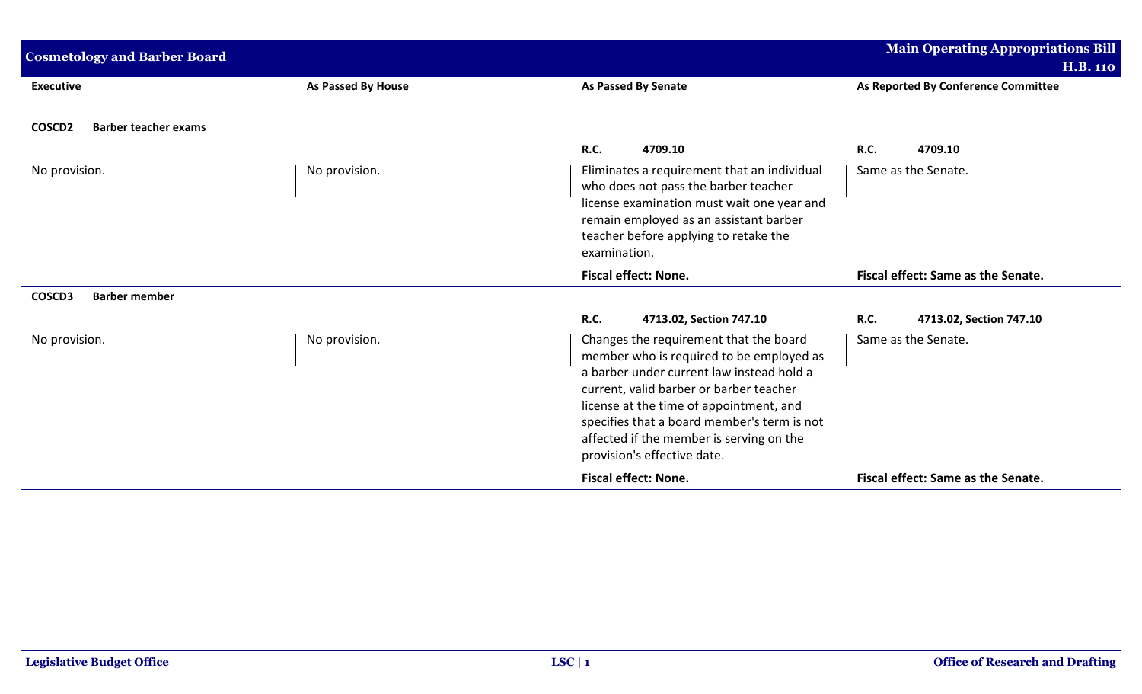| <b>Cosmetology and Barber Board</b>               |                    |                                                                                                                                                                                                                                                                                                                                                 | <b>Main Operating Appropriations Bill</b>              |
|---------------------------------------------------|--------------------|-------------------------------------------------------------------------------------------------------------------------------------------------------------------------------------------------------------------------------------------------------------------------------------------------------------------------------------------------|--------------------------------------------------------|
| <b>Executive</b>                                  | As Passed By House | <b>As Passed By Senate</b>                                                                                                                                                                                                                                                                                                                      | <b>H.B. 110</b><br>As Reported By Conference Committee |
| COSCD <sub>2</sub><br><b>Barber teacher exams</b> |                    |                                                                                                                                                                                                                                                                                                                                                 |                                                        |
|                                                   |                    | <b>R.C.</b><br>4709.10                                                                                                                                                                                                                                                                                                                          | 4709.10<br><b>R.C.</b>                                 |
| No provision.                                     | No provision.      | Eliminates a requirement that an individual<br>who does not pass the barber teacher<br>license examination must wait one year and<br>remain employed as an assistant barber<br>teacher before applying to retake the<br>examination.                                                                                                            | Same as the Senate.                                    |
|                                                   |                    | <b>Fiscal effect: None.</b>                                                                                                                                                                                                                                                                                                                     | Fiscal effect: Same as the Senate.                     |
| <b>Barber member</b><br>COSCD3                    |                    |                                                                                                                                                                                                                                                                                                                                                 |                                                        |
|                                                   |                    | <b>R.C.</b><br>4713.02, Section 747.10                                                                                                                                                                                                                                                                                                          | <b>R.C.</b><br>4713.02, Section 747.10                 |
| No provision.                                     | No provision.      | Changes the requirement that the board<br>member who is required to be employed as<br>a barber under current law instead hold a<br>current, valid barber or barber teacher<br>license at the time of appointment, and<br>specifies that a board member's term is not<br>affected if the member is serving on the<br>provision's effective date. | Same as the Senate.                                    |
|                                                   |                    | <b>Fiscal effect: None.</b>                                                                                                                                                                                                                                                                                                                     | Fiscal effect: Same as the Senate.                     |